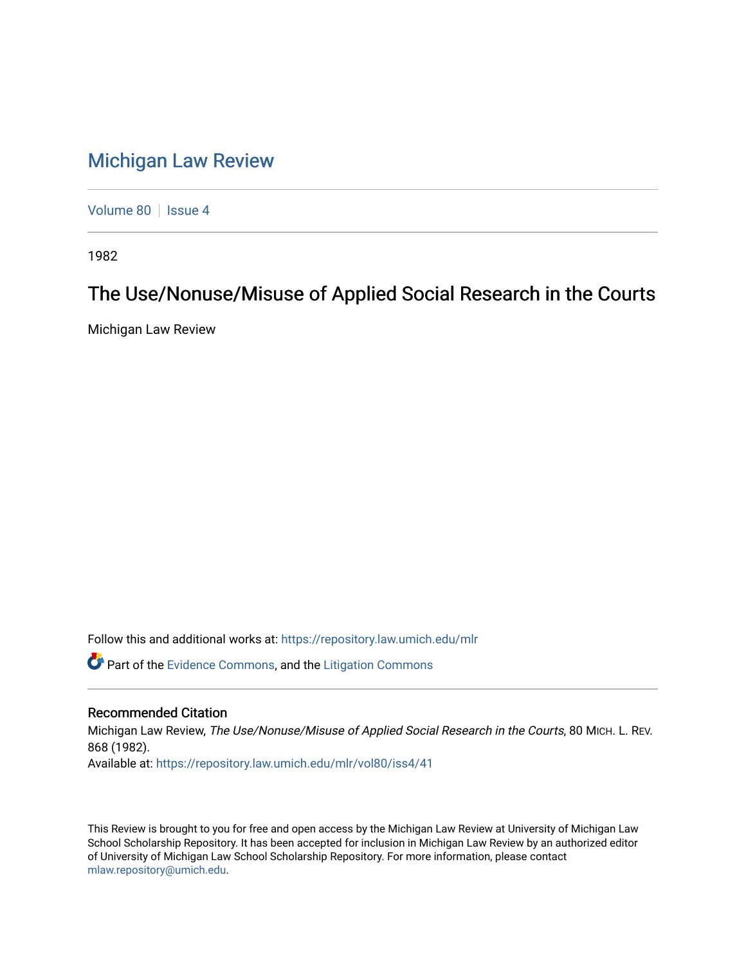## [Michigan Law Review](https://repository.law.umich.edu/mlr)

[Volume 80](https://repository.law.umich.edu/mlr/vol80) | [Issue 4](https://repository.law.umich.edu/mlr/vol80/iss4)

1982

## The Use/Nonuse/Misuse of Applied Social Research in the Courts

Michigan Law Review

Follow this and additional works at: [https://repository.law.umich.edu/mlr](https://repository.law.umich.edu/mlr?utm_source=repository.law.umich.edu%2Fmlr%2Fvol80%2Fiss4%2F41&utm_medium=PDF&utm_campaign=PDFCoverPages) 

Part of the [Evidence Commons,](http://network.bepress.com/hgg/discipline/601?utm_source=repository.law.umich.edu%2Fmlr%2Fvol80%2Fiss4%2F41&utm_medium=PDF&utm_campaign=PDFCoverPages) and the [Litigation Commons](http://network.bepress.com/hgg/discipline/910?utm_source=repository.law.umich.edu%2Fmlr%2Fvol80%2Fiss4%2F41&utm_medium=PDF&utm_campaign=PDFCoverPages) 

## Recommended Citation

Michigan Law Review, The Use/Nonuse/Misuse of Applied Social Research in the Courts, 80 MICH. L. REV. 868 (1982). Available at: [https://repository.law.umich.edu/mlr/vol80/iss4/41](https://repository.law.umich.edu/mlr/vol80/iss4/41?utm_source=repository.law.umich.edu%2Fmlr%2Fvol80%2Fiss4%2F41&utm_medium=PDF&utm_campaign=PDFCoverPages) 

This Review is brought to you for free and open access by the Michigan Law Review at University of Michigan Law School Scholarship Repository. It has been accepted for inclusion in Michigan Law Review by an authorized editor of University of Michigan Law School Scholarship Repository. For more information, please contact [mlaw.repository@umich.edu.](mailto:mlaw.repository@umich.edu)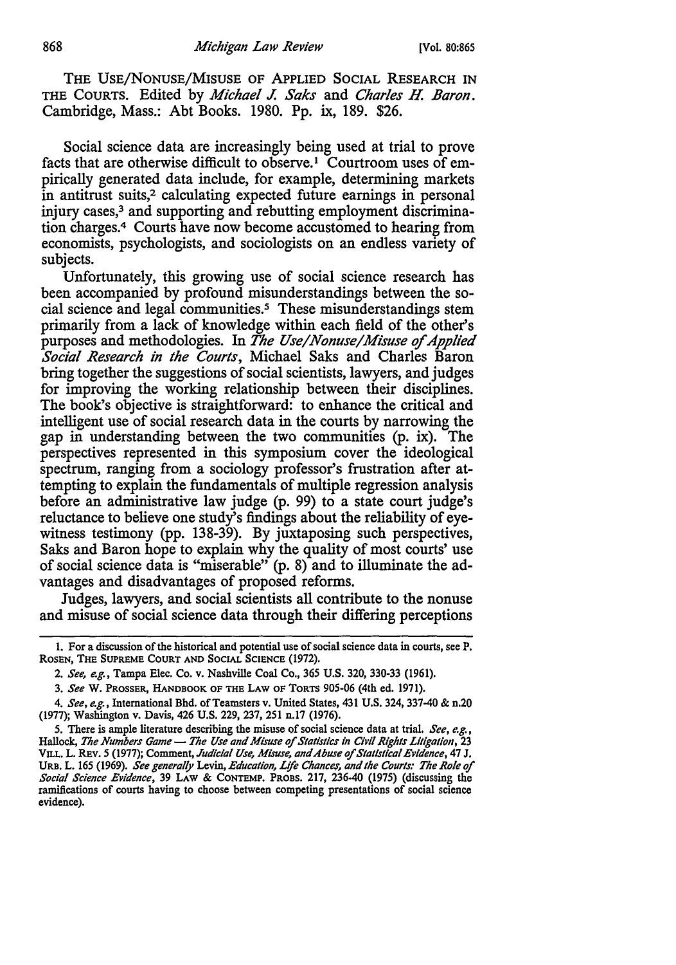THE USE/NONUSE/MISUSE OF APPLIED SOCIAL RESEARCH IN THE COURTS. Edited by *Michael J. Saks* and *Charles H. Baron.*  Cambridge, Mass.: Abt Books. 1980. Pp. ix, 189. \$26.

Social science data are increasingly being used at trial to prove facts that are otherwise difficult to observe.<sup>1</sup> Courtroom uses of empirically generated data include, for example, determining markets in antitrust suits,<sup>2</sup> calculating expected future earnings in personal injury cases,<sup>3</sup> and supporting and rebutting employment discrimination charges.4 Courts have now become accustomed to hearing from economists, psychologists, and sociologists on an endless variety of subjects.

Unfortunately, this growing use of social science research has been accompanied by profound misunderstandings between the social science and legal communities.<sup>5</sup> These misunderstandings stem primarily from a lack of knowledge within each field of the other's purposes and methodologies. In *The Use/Nonuse/Misuse of Applied Social Research in the Courts,* Michael Saks and Charles Baron bring together the suggestions of social scientists, lawyers, and judges for improving the working relationship between their disciplines. The book's objective is straightforward: to enhance the critical and intelligent use of social research data in the courts by narrowing the gap in understanding between the two communities (p. ix). The perspectives represented in this symposium cover the ideological spectrum, ranging from a sociology professor's frustration after attempting to explain the fundamentals of multiple regression analysis before an administrative law judge (p. 99) to a state court judge's reluctance to believe one study's findings about the reliability of eyewitness testimony (pp. 138-39). By juxtaposing such perspectives, Saks and Baron hope to explain why the quality of most courts' use of social science data is "miserable" (p. 8) and to illuminate the advantages and disadvantages of proposed reforms.

Judges, lawyers, and social scientists all contribute to the nonuse and misuse of social science data through their differing perceptions

<sup>1.</sup> For a discussion of the historical and potential use of social science data in courts, see P. ROSEN, THE SUPREME COURT AND SOCIAL SCIENCE (1972).

<sup>2.</sup> *See, e.g.,* Tampa Elec. Co. v. Nashville Coal Co., 365 U.S. 320, 330-33 (1961).

<sup>3.</sup> *See* w. PROSSER, HANDBOOK OF THE LAW OF TORTS 905-06 (4th ed. 1971).

<sup>4.</sup> *See, e.g.,* International Bhd. of Teamsters v. United States, 431 U.S. 324, 337-40 & n.20 (1977); Washington v. Davis, 426 U.S. 229, 237, 251 n.17 (1976).

<sup>5.</sup> There is ample literature describing the misuse of social science data at trial. *See, e.g.,*  Hallock, *The Numbers Game* - *The Use and Misuse of Statistics in Civil Rights Litigation*, 23 VILL. L. REv. 5 (1977); Comment, *Judicial Use, Misuse, and Abuse* of *Statistical Evidence, 41* J. URB. L. 165 (1969). *See generally* Levin, *Education, Lffe Chance;, and the Courts: The Role* of *Social Science Evidence,* 39 LAW & CONTEMP. PROBS. 217, 236-40 (1975) (discussing the ramifications of courts having to choose between competing presentations of social science evidence).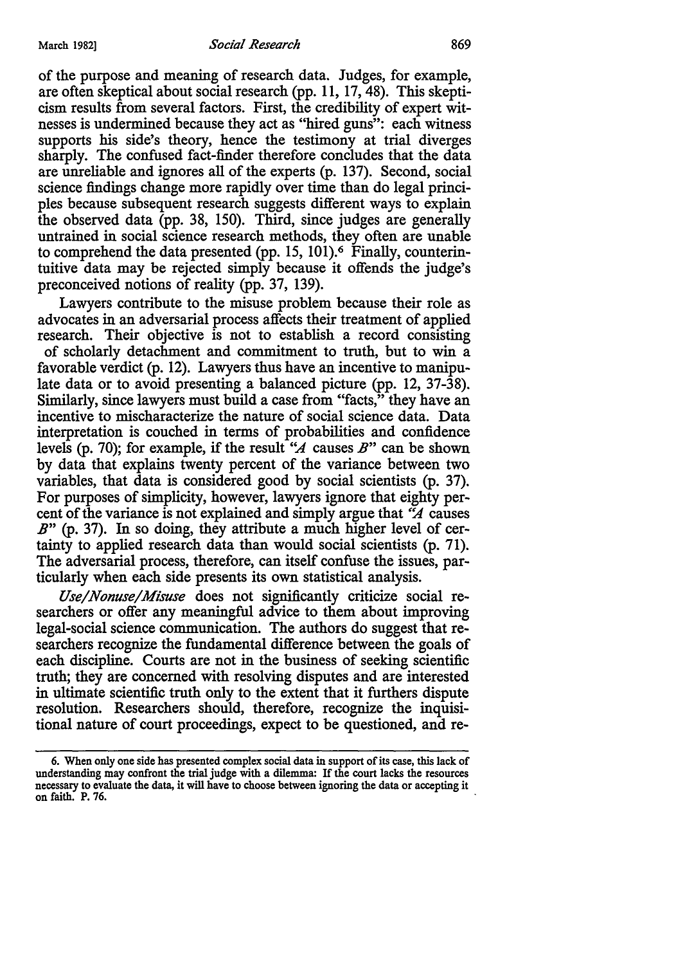of the purpose and meaning of research data. Judges, for example, are often skeptical about social research (pp. 11, 17, 48). This skepticism results from several factors. First, the credibility of expert witnesses is undermined because they act as "hired guns": each witness supports his side's theory, hence the testimony at trial diverges sharply. The confused fact-finder therefore concludes that the data are unreliable and ignores all of the experts (p. 137). Second, social science findings change more rapidly over time than do legal principles because subsequent research suggests different ways to explain the observed data (pp. 38, 150). Third, since judges are generally untrained in social science research methods, they often are unable to comprehend the data presented (pp. 15, 101).6 Finally, counterintuitive data may be rejected simply because it offends the judge's preconceived notions of reality (pp. 37, 139).

Lawyers contribute to the misuse problem because their role as advocates in an adversarial process affects their treatment of applied research. Their objective is not to establish a record consisting of scholarly detachment and commitment to truth, but to win a favorable verdict (p. 12). Lawyers thus have an incentive to manipulate data or to avoid presenting a balanced picture (pp. 12, 37-38). Similarly, since lawyers must build a case from "facts," they have an incentive to mischaracterize the nature of social science data. Data interpretation is couched in terms of probabilities and confidence levels (p. 70); for example, if the result *''A* causes *B"* can be shown by data that explains twenty percent of the variance between two variables, that data is considered good by social scientists (p. 37). For purposes of simplicity, however, lawyers ignore that eighty percent of the variance is not explained and simply argue that *"A* causes *B"* (p. 37). In so doing, they attribute a much higher level of certainty to applied research data than would social scientists (p. 71 ). The adversarial process, therefore, can itself confuse the issues, particularly when each side presents its own statistical analysis.

*Use/Nonuse/Misuse* does not significantly criticize social researchers or offer any meaningful advice to them about improving legal-social science communication. The authors do suggest that researchers recognize the fundamental difference between the goals of each discipline. Courts are not in the business of seeking scientific truth; they are concerned with resolving disputes and are interested in ultimate scientific truth only to the extent that it furthers dispute resolution. Researchers should, therefore, recognize the inquisitional nature of court proceedings, expect to be questioned, and re-

<sup>6.</sup> When only one side has presented complex social data in support of its case, this lack of understanding may confront the trial judge with a dilemma: If the court lacks the resources necessary to evaluate the data, it will have to choose between ignoring the data or accepting it on faith. P. 76.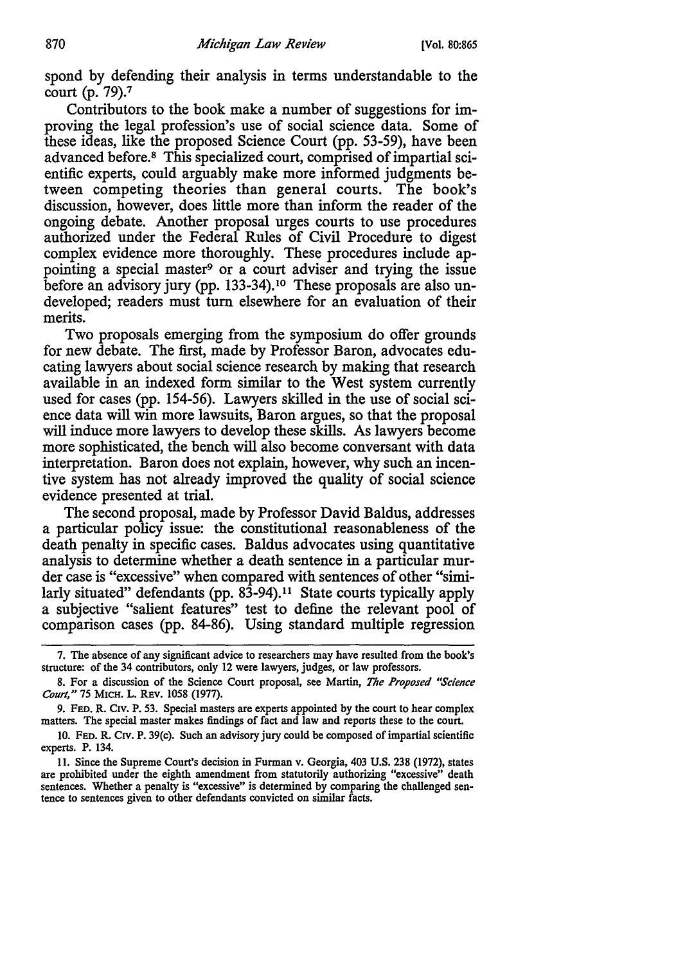spond by defending their analysis in terms understandable to the court (p. 79).<sup>7</sup>

Contributors to the book make a number of suggestions for improving the legal profession's use of social science data. Some of these ideas, like the proposed Science Court (pp. 53-59), have been advanced before.8 This specialized court, comprised of impartial scientific experts, could arguably make more informed judgments between competing theories than general courts. The book's discussion, however, does little more than inform the reader of the ongoing debate. Another proposal urges courts to use procedures authorized under the Federal Rules of Civil Procedure to digest complex evidence more thoroughly. These procedures include appointing a special master<sup>9</sup> or a court adviser and trying the issue before an advisory jury (pp. 133-34).<sup>10</sup> These proposals are also undeveloped; readers must tum elsewhere for an evaluation of their merits.

Two proposals emerging from the symposium do offer grounds for new debate. The first, made by Professor Baron, advocates educating lawyers about social science research by making that research available in an indexed form similar to the West system currently used for cases (pp. 154-56). Lawyers skilled in the use of social science data will win more lawsuits, Baron argues, so that the proposal will induce more lawyers to develop these skills. As lawyers become more sophisticated, the bench will also become conversant with data interpretation. Baron does not explain, however, why such an incentive system has not already improved the quality of social science evidence presented at trial.

The second proposal, made by Professor David Baldus, addresses a particular policy issue: the constitutional reasonableness of the death penalty in specific cases. Baldus advocates using quantitative analysis to determine whether a death sentence in a particular murder case is "excessive" when compared with sentences of other "similarly situated" defendants (pp. 83-94).<sup>11</sup> State courts typically apply a subjective "salient features" test to define the relevant pool of comparison cases (pp. 84-86). Using standard multiple regression

10. FED. R. CIV. P. 39(c). Such an advisory jury could be composed of impartial scientific experts. P. 134.

<sup>7.</sup> The absence of any significant advice to researchers may have resulted from the book's structure: of the 34 contributors, only 12 were lawyers, judges, or law professors.

<sup>8.</sup> For a discussion of the Science Court proposal, see Martin, *The Proposed "Science Court,"* 75 MICH. L. REV. 1058 (1977).

<sup>9.</sup> FED. R. C1v. P. 53. Special masters are experts appointed by the court to hear complex matters. The special master makes findings of fact and law and reports these to the court.

<sup>11.</sup> Since the Supreme Court's decision in Furman v. Georgia, 403 U.S. 238 (1972), states are prohibited under the eighth amendment from statutorily authorizing "excessive" death sentences. Whether a penalty is "excessive" is determined by comparing the challenged sentence to sentences given to other defendants convicted on similar facts.